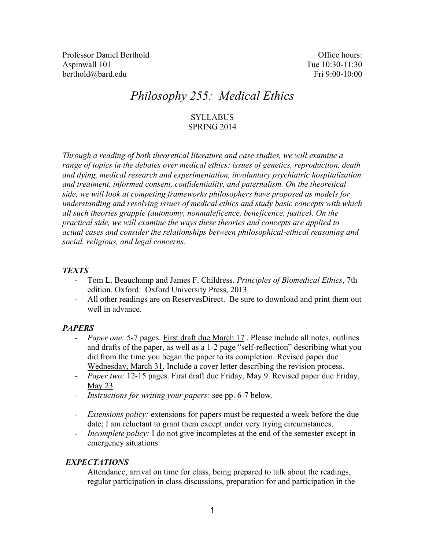Professor Daniel Berthold **Office hours:** Office hours: Aspinwall 101 Tue 10:30-11:30 berthold@bard.edu Fri 9:00-10:00

# *Philosophy 255: Medical Ethics*

# **SYLLABUS** SPRING 2014

*Through a reading of both theoretical literature and case studies, we will examine a range of topics in the debates over medical ethics: issues of genetics, reproduction, death and dying, medical research and experimentation, involuntary psychiatric hospitalization and treatment, informed consent, confidentiality, and paternalism. On the theoretical side, we will look at competing frameworks philosophers have proposed as models for understanding and resolving issues of medical ethics and study basic concepts with which all such theories grapple (autonomy, nonmaleficence, beneficence, justice). On the practical side, we will examine the ways these theories and concepts are applied to actual cases and consider the relationships between philosophical-ethical reasoning and social, religious, and legal concerns.*

## *TEXTS*

- Tom L. Beauchamp and James F. Childress. *Principles of Biomedical Ethics*, 7th edition. Oxford: Oxford University Press, 2013.
- All other readings are on ReservesDirect. Be sure to download and print them out well in advance

# *PAPERS*

- *Paper one:* 5-7 pages. First draft due March 17. Please include all notes, outlines and drafts of the paper, as well as a 1-2 page "self-reflection" describing what you did from the time you began the paper to its completion. Revised paper due Wednesday, March 31. Include a cover letter describing the revision process.
- *Paper two:* 12-15 pages. First draft due Friday, May 9. Revised paper due Friday, May 23.
- *Instructions for writing your papers:* see pp. 6-7 below.
- *Extensions policy:* extensions for papers must be requested a week before the due date; I am reluctant to grant them except under very trying circumstances.
- *Incomplete policy:* I do not give incompletes at the end of the semester except in emergency situations.

#### *EXPECTATIONS*

Attendance, arrival on time for class, being prepared to talk about the readings, regular participation in class discussions, preparation for and participation in the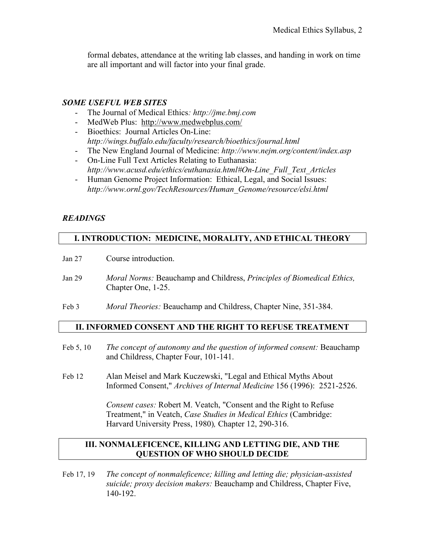formal debates, attendance at the writing lab classes, and handing in work on time are all important and will factor into your final grade.

# *SOME USEFUL WEB SITES*

- The Journal of Medical Ethics*: http://jme.bmj.com*
- MedWeb Plus: http://www.medwebplus.com/
- Bioethics: Journal Articles On-Line: *http://wings.buffalo.edu/faculty/research/bioethics/journal.html*
- The New England Journal of Medicine: *http://www.nejm.org/content/index.asp*
- On-Line Full Text Articles Relating to Euthanasia: *http://www.acusd.edu/ethics/euthanasia.html#On-Line\_Full\_Text\_Articles*
- Human Genome Project Information: Ethical, Legal, and Social Issues: *http://www.ornl.gov/TechResources/Human\_Genome/resource/elsi.html*

# *READINGS*

# **I. INTRODUCTION: MEDICINE, MORALITY, AND ETHICAL THEORY**

- Jan 27 Course introduction.
- Jan 29 *Moral Norms:* Beauchamp and Childress, *Principles of Biomedical Ethics,* Chapter One, 1-25.
- Feb 3 *Moral Theories:* Beauchamp and Childress, Chapter Nine, 351-384.

# **II. INFORMED CONSENT AND THE RIGHT TO REFUSE TREATMENT**

- Feb 5, 10 *The concept of autonomy and the question of informed consent:* Beauchamp and Childress, Chapter Four, 101-141.
- Feb 12 Alan Meisel and Mark Kuczewski, "Legal and Ethical Myths About Informed Consent," *Archives of Internal Medicine* 156 (1996): 2521-2526.

*Consent cases:* Robert M. Veatch, "Consent and the Right to Refuse Treatment," in Veatch, *Case Studies in Medical Ethics* (Cambridge: Harvard University Press, 1980)*,* Chapter 12, 290-316.

## **III. NONMALEFICENCE, KILLING AND LETTING DIE, AND THE QUESTION OF WHO SHOULD DECIDE**

Feb 17, 19 *The concept of nonmaleficence; killing and letting die; physician-assisted suicide; proxy decision makers:* Beauchamp and Childress, Chapter Five, 140-192.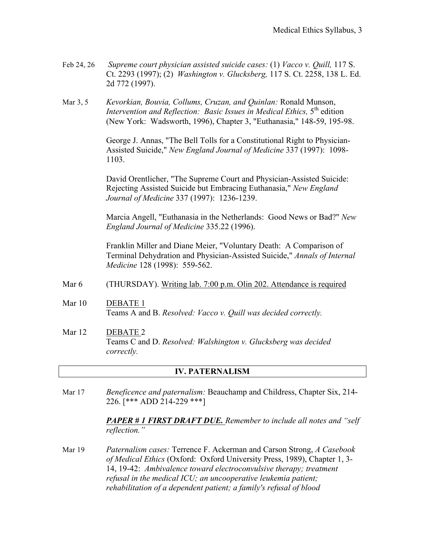- Feb 24, 26 *Supreme court physician assisted suicide cases:* (1) *Vacco v. Quill,* 117 S. Ct. 2293 (1997); (2) *Washington v. Glucksberg,* 117 S. Ct. 2258, 138 L. Ed. 2d 772 (1997).
- Mar 3, 5 *Kevorkian, Bouvia, Collums, Cruzan, and Quinlan:* Ronald Munson, *Intervention and Reflection: Basic Issues in Medical Ethics,* 5<sup>th</sup> edition (New York: Wadsworth, 1996), Chapter 3, "Euthanasia," 148-59, 195-98.

George J. Annas, "The Bell Tolls for a Constitutional Right to Physician-Assisted Suicide," *New England Journal of Medicine* 337 (1997): 1098- 1103.

David Orentlicher, "The Supreme Court and Physician-Assisted Suicide: Rejecting Assisted Suicide but Embracing Euthanasia," *New England Journal of Medicine* 337 (1997): 1236-1239.

Marcia Angell, "Euthanasia in the Netherlands: Good News or Bad?" *New England Journal of Medicine* 335.22 (1996).

Franklin Miller and Diane Meier, "Voluntary Death: A Comparison of Terminal Dehydration and Physician-Assisted Suicide," *Annals of Internal Medicine* 128 (1998): 559-562.

#### Mar 6 (THURSDAY). Writing lab. 7:00 p.m. Olin 202. Attendance is required

- Mar 10 DEBATE 1 Teams A and B. *Resolved: Vacco v. Quill was decided correctly.*
- Mar 12 DEBATE 2 Teams C and D. *Resolved: Walshington v. Glucksberg was decided correctly.*

#### **IV. PATERNALISM**

Mar 17 *Beneficence and paternalism:* Beauchamp and Childress, Chapter Six, 214- 226. [\*\*\* ADD 214-229 \*\*\*]

> *PAPER # 1 FIRST DRAFT DUE. Remember to include all notes and "self reflection."*

Mar 19 *Paternalism cases:* Terrence F. Ackerman and Carson Strong, *A Casebook of Medical Ethics* (Oxford: Oxford University Press, 1989), Chapter 1, 3- 14, 19-42: *Ambivalence toward electroconvulsive therapy; treatment refusal in the medical ICU; an uncooperative leukemia patient; rehabilitation of a dependent patient; a family's refusal of blood*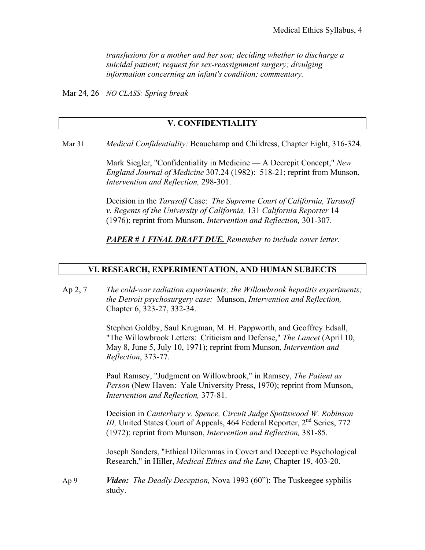*transfusions for a mother and her son; deciding whether to discharge a suicidal patient; request for sex-reassignment surgery; divulging information concerning an infant's condition; commentary.*

Mar 24, 26 *NO CLASS: Spring break*

#### **V. CONFIDENTIALITY**

Mar 31 *Medical Confidentiality:* Beauchamp and Childress, Chapter Eight, 316-324.

Mark Siegler, "Confidentiality in Medicine — A Decrepit Concept," *New England Journal of Medicine* 307.24 (1982): 518-21; reprint from Munson, *Intervention and Reflection,* 298-301.

Decision in the *Tarasoff* Case: *The Supreme Court of California, Tarasoff v. Regents of the University of California,* 131 *California Reporter* 14 (1976); reprint from Munson, *Intervention and Reflection,* 301-307.

*PAPER # 1 FINAL DRAFT DUE. Remember to include cover letter.*

#### **VI. RESEARCH, EXPERIMENTATION, AND HUMAN SUBJECTS**

Ap 2, 7 *The cold-war radiation experiments; the Willowbrook hepatitis experiments; the Detroit psychosurgery case:* Munson, *Intervention and Reflection,* Chapter 6, 323-27, 332-34.

> Stephen Goldby, Saul Krugman, M. H. Pappworth, and Geoffrey Edsall, "The Willowbrook Letters: Criticism and Defense," *The Lancet* (April 10, May 8, June 5, July 10, 1971); reprint from Munson, *Intervention and Reflection*, 373-77.

> Paul Ramsey, "Judgment on Willowbrook," in Ramsey, *The Patient as Person* (New Haven: Yale University Press, 1970); reprint from Munson, *Intervention and Reflection,* 377-81.

> Decision in *Canterbury v. Spence, Circuit Judge Spottswood W. Robinson III, United States Court of Appeals, 464 Federal Reporter, 2<sup>nd</sup> Series, 772* (1972); reprint from Munson, *Intervention and Reflection,* 381-85.

Joseph Sanders, "Ethical Dilemmas in Covert and Deceptive Psychological Research," in Hiller, *Medical Ethics and the Law,* Chapter 19, 403-20.

Ap 9 *Video: The Deadly Deception,* Nova 1993 (60"): The Tuskeegee syphilis study.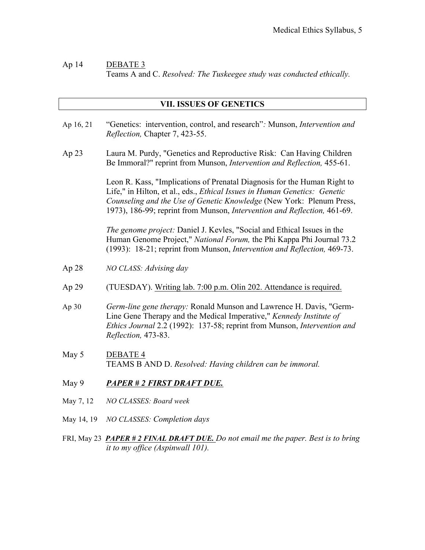## Ap 14 DEBATE 3 Teams A and C. *Resolved: The Tuskeegee study was conducted ethically.*

#### **VII. ISSUES OF GENETICS**

- Ap 16, 21 "Genetics: intervention, control, and research"*:* Munson, *Intervention and Reflection,* Chapter 7, 423-55.
- Ap 23 Laura M. Purdy, "Genetics and Reproductive Risk: Can Having Children Be Immoral?" reprint from Munson, *Intervention and Reflection,* 455-61.

Leon R. Kass, "Implications of Prenatal Diagnosis for the Human Right to Life," in Hilton, et al., eds., *Ethical Issues in Human Genetics: Genetic Counseling and the Use of Genetic Knowledge* (New York: Plenum Press, 1973), 186-99; reprint from Munson, *Intervention and Reflection,* 461-69.

*The genome project:* Daniel J. Kevles, "Social and Ethical Issues in the Human Genome Project," *National Forum,* the Phi Kappa Phi Journal 73.2 (1993): 18-21; reprint from Munson, *Intervention and Reflection,* 469-73.

- Ap 28 *NO CLASS: Advising day*
- Ap 29 (TUESDAY). Writing lab. 7:00 p.m. Olin 202. Attendance is required.
- Ap 30 *Germ-line gene therapy:* Ronald Munson and Lawrence H. Davis, "Germ-Line Gene Therapy and the Medical Imperative," *Kennedy Institute of Ethics Journal* 2.2 (1992): 137-58; reprint from Munson, *Intervention and Reflection,* 473-83.
- May 5 DEBATE 4 TEAMS B AND D. *Resolved: Having children can be immoral.*
- May 9 *PAPER # 2 FIRST DRAFT DUE.*
- May 7, 12 *NO CLASSES: Board week*
- May 14, 19 *NO CLASSES: Completion days*
- FRI, May 23 *PAPER # 2 FINAL DRAFT DUE. Do not email me the paper. Best is to bring it to my office (Aspinwall 101).*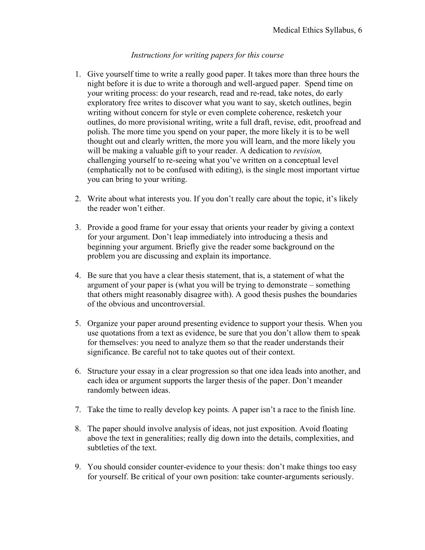## *Instructions for writing papers for this course*

- 1. Give yourself time to write a really good paper. It takes more than three hours the night before it is due to write a thorough and well-argued paper. Spend time on your writing process: do your research, read and re-read, take notes, do early exploratory free writes to discover what you want to say, sketch outlines, begin writing without concern for style or even complete coherence, resketch your outlines, do more provisional writing, write a full draft, revise, edit, proofread and polish. The more time you spend on your paper, the more likely it is to be well thought out and clearly written, the more you will learn, and the more likely you will be making a valuable gift to your reader. A dedication to *revision,* challenging yourself to re-seeing what you've written on a conceptual level (emphatically not to be confused with editing), is the single most important virtue you can bring to your writing.
- 2. Write about what interests you. If you don't really care about the topic, it's likely the reader won't either.
- 3. Provide a good frame for your essay that orients your reader by giving a context for your argument. Don't leap immediately into introducing a thesis and beginning your argument. Briefly give the reader some background on the problem you are discussing and explain its importance.
- 4. Be sure that you have a clear thesis statement, that is, a statement of what the argument of your paper is (what you will be trying to demonstrate – something that others might reasonably disagree with). A good thesis pushes the boundaries of the obvious and uncontroversial.
- 5. Organize your paper around presenting evidence to support your thesis. When you use quotations from a text as evidence, be sure that you don't allow them to speak for themselves: you need to analyze them so that the reader understands their significance. Be careful not to take quotes out of their context.
- 6. Structure your essay in a clear progression so that one idea leads into another, and each idea or argument supports the larger thesis of the paper. Don't meander randomly between ideas.
- 7. Take the time to really develop key points. A paper isn't a race to the finish line.
- 8. The paper should involve analysis of ideas, not just exposition. Avoid floating above the text in generalities; really dig down into the details, complexities, and subtleties of the text.
- 9. You should consider counter-evidence to your thesis: don't make things too easy for yourself. Be critical of your own position: take counter-arguments seriously.